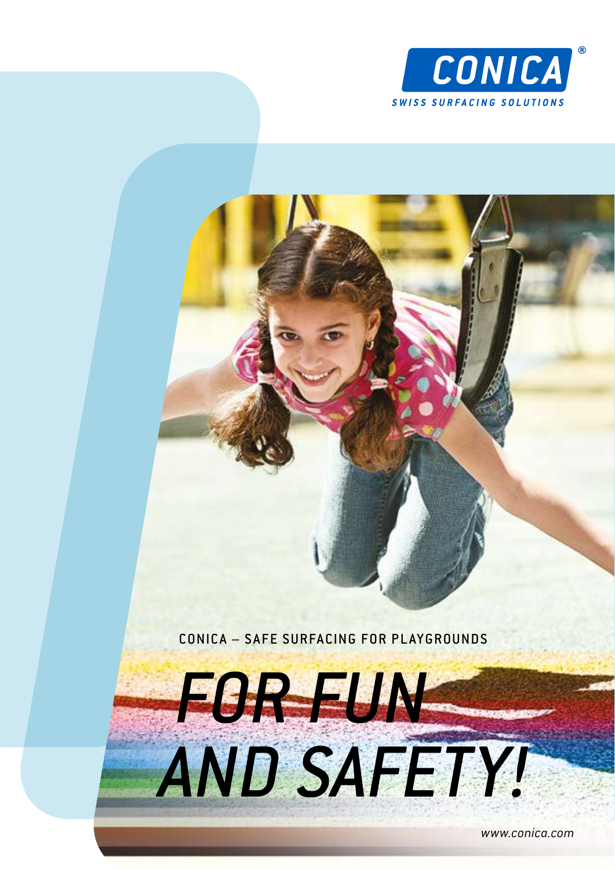

CONICA - SAFE SURFACING FOR PLAYGROUNDS

AND SAFETY!

FORFUN

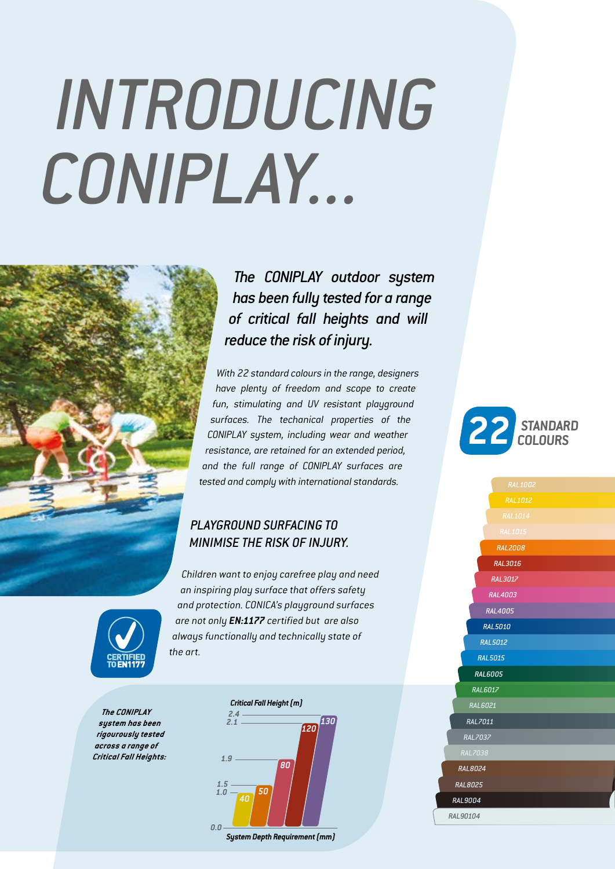# *INTRODUCING CONIPLAY...*

*The CONIPLAY outdoor system has been fully tested for a range of critical fall heights and will reduce the risk of injury.*

*With 22 standard colours in the range, designers have plenty of freedom and scope to create fun, stimulating and UV resistant playground surfaces. The techanical properties of the CONIPLAY system, including wear and weather resistance, are retained for an extended period, and the full range of CONIPLAY surfaces are tested and comply with international standards.*

### *PLAYGROUND SURFACING TO MINIMISE THE RISK OF INJURY.*

*Children want to enjoy carefree play and need an inspiring play surface that offers safety and protection. CONICA's playground surfaces are not only EN:1177 certified but are also always functionally and technically state of the art.*

*The CONIPLAY system has been rigourously tested across a range of Critical Fall Heights:*



*System Depth Requirement (mm)*

 *STANDARD 22COLOURS*

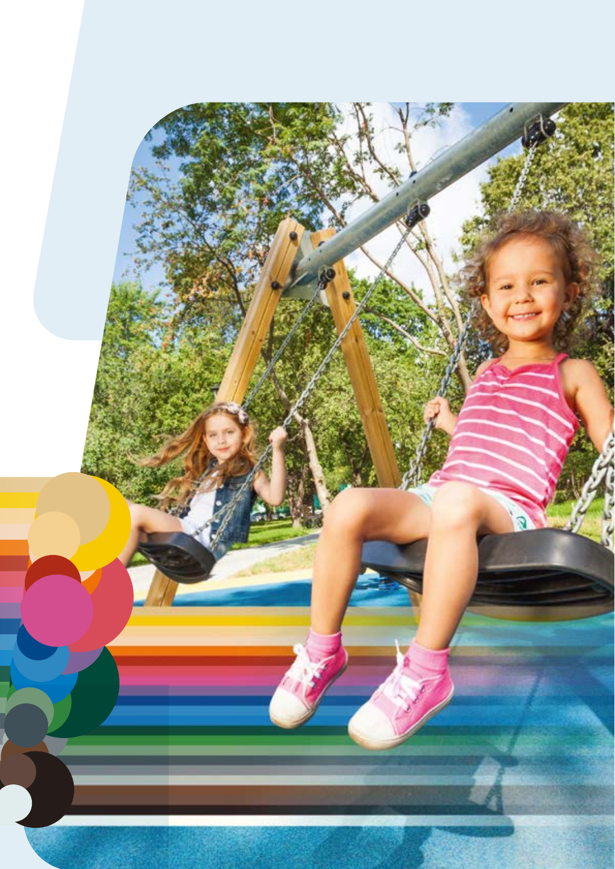